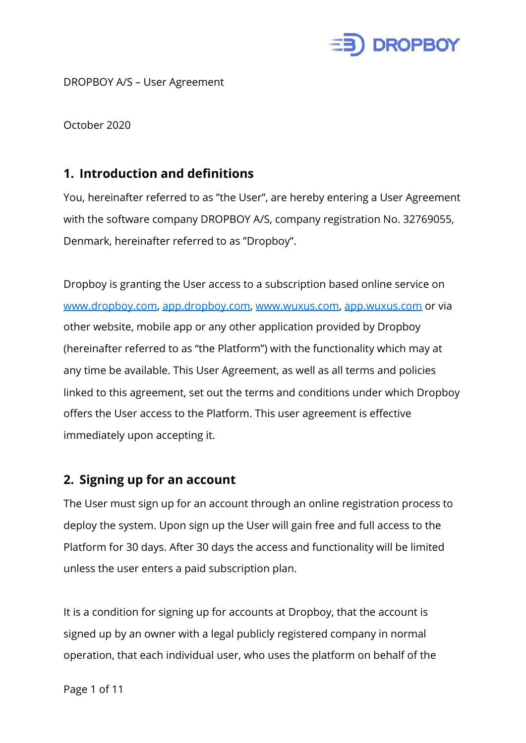

DROPBOY A/S – User Agreement

October 2020

#### **1. Introduction and definitions**

You, hereinafter referred to as "the User", are hereby entering a User Agreement with the software company DROPBOY A/S, company registration No. 32769055, Denmark, hereinafter referred to as "Dropboy".

Dropboy is granting the User access to a subscription based online service on [www.dropboy.com](http://www.dropboy.com/), [app.dropboy.com,](https://app.dropboy.com/) [www.wuxus.com](http://www.wuxus.com/), [app.wuxus.com](https://app.wuxus.com/) or via other website, mobile app or any other application provided by Dropboy (hereinafter referred to as "the Platform") with the functionality which may at any time be available. This User Agreement, as well as all terms and policies linked to this agreement, set out the terms and conditions under which Dropboy offers the User access to the Platform. This user agreement is effective immediately upon accepting it.

#### **2. Signing up for an account**

The User must sign up for an account through an online registration process to deploy the system. Upon sign up the User will gain free and full access to the Platform for 30 days. After 30 days the access and functionality will be limited unless the user enters a paid subscription plan.

It is a condition for signing up for accounts at Dropboy, that the account is signed up by an owner with a legal publicly registered company in normal operation, that each individual user, who uses the platform on behalf of the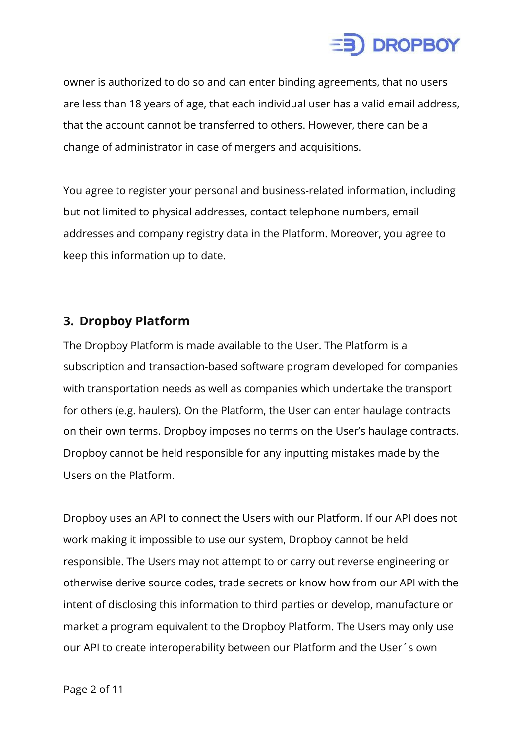

owner is authorized to do so and can enter binding agreements, that no users are less than 18 years of age, that each individual user has a valid email address, that the account cannot be transferred to others. However, there can be a change of administrator in case of mergers and acquisitions.

You agree to register your personal and business-related information, including but not limited to physical addresses, contact telephone numbers, email addresses and company registry data in the Platform. Moreover, you agree to keep this information up to date.

#### **3. Dropboy Platform**

The Dropboy Platform is made available to the User. The Platform is a subscription and transaction-based software program developed for companies with transportation needs as well as companies which undertake the transport for others (e.g. haulers). On the Platform, the User can enter haulage contracts on their own terms. Dropboy imposes no terms on the User's haulage contracts. Dropboy cannot be held responsible for any inputting mistakes made by the Users on the Platform.

Dropboy uses an API to connect the Users with our Platform. If our API does not work making it impossible to use our system, Dropboy cannot be held responsible. The Users may not attempt to or carry out reverse engineering or otherwise derive source codes, trade secrets or know how from our API with the intent of disclosing this information to third parties or develop, manufacture or market a program equivalent to the Dropboy Platform. The Users may only use our API to create interoperability between our Platform and the User´s own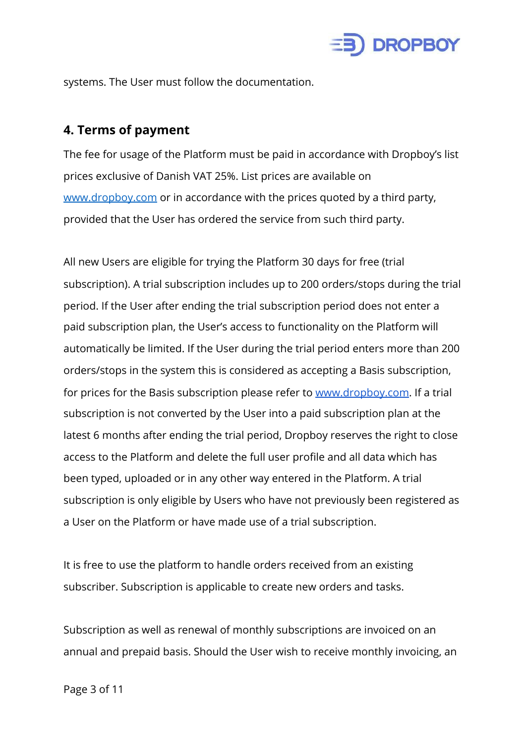

systems. The User must follow the documentation.

#### **4. Terms of payment**

The fee for usage of the Platform must be paid in accordance with Dropboy's list prices exclusive of Danish VAT 25%. List prices are available on [www.dropboy.com](http://www.dropboy.com/) or in accordance with the prices quoted by a third party, provided that the User has ordered the service from such third party.

All new Users are eligible for trying the Platform 30 days for free (trial subscription). A trial subscription includes up to 200 orders/stops during the trial period. If the User after ending the trial subscription period does not enter a paid subscription plan, the User's access to functionality on the Platform will automatically be limited. If the User during the trial period enters more than 200 orders/stops in the system this is considered as accepting a Basis subscription, for prices for the Basis subscription please refer to [www.dropboy.com.](http://www.dropboy.com/) If a trial subscription is not converted by the User into a paid subscription plan at the latest 6 months after ending the trial period, Dropboy reserves the right to close access to the Platform and delete the full user profile and all data which has been typed, uploaded or in any other way entered in the Platform. A trial subscription is only eligible by Users who have not previously been registered as a User on the Platform or have made use of a trial subscription.

It is free to use the platform to handle orders received from an existing subscriber. Subscription is applicable to create new orders and tasks.

Subscription as well as renewal of monthly subscriptions are invoiced on an annual and prepaid basis. Should the User wish to receive monthly invoicing, an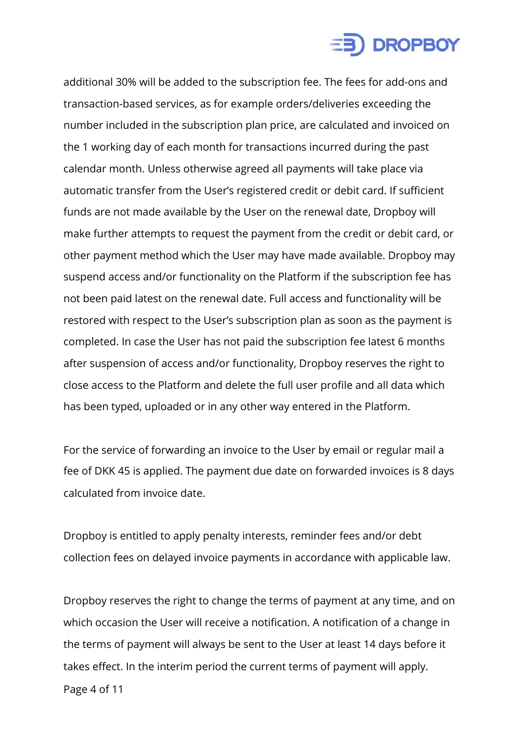

additional 30% will be added to the subscription fee. The fees for add-ons and transaction-based services, as for example orders/deliveries exceeding the number included in the subscription plan price, are calculated and invoiced on the 1 working day of each month for transactions incurred during the past calendar month. Unless otherwise agreed all payments will take place via automatic transfer from the User's registered credit or debit card. If sufficient funds are not made available by the User on the renewal date, Dropboy will make further attempts to request the payment from the credit or debit card, or other payment method which the User may have made available. Dropboy may suspend access and/or functionality on the Platform if the subscription fee has not been paid latest on the renewal date. Full access and functionality will be restored with respect to the User's subscription plan as soon as the payment is completed. In case the User has not paid the subscription fee latest 6 months after suspension of access and/or functionality, Dropboy reserves the right to close access to the Platform and delete the full user profile and all data which has been typed, uploaded or in any other way entered in the Platform.

For the service of forwarding an invoice to the User by email or regular mail a fee of DKK 45 is applied. The payment due date on forwarded invoices is 8 days calculated from invoice date.

Dropboy is entitled to apply penalty interests, reminder fees and/or debt collection fees on delayed invoice payments in accordance with applicable law.

Dropboy reserves the right to change the terms of payment at any time, and on which occasion the User will receive a notification. A notification of a change in the terms of payment will always be sent to the User at least 14 days before it takes effect. In the interim period the current terms of payment will apply.

Page 4 of 11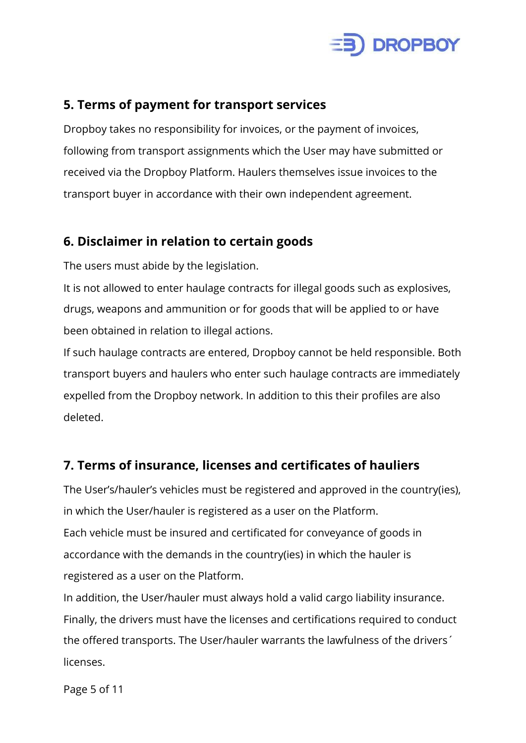

#### **5. Terms of payment for transport services**

Dropboy takes no responsibility for invoices, or the payment of invoices, following from transport assignments which the User may have submitted or received via the Dropboy Platform. Haulers themselves issue invoices to the transport buyer in accordance with their own independent agreement.

#### **6. Disclaimer in relation to certain goods**

The users must abide by the legislation.

It is not allowed to enter haulage contracts for illegal goods such as explosives, drugs, weapons and ammunition or for goods that will be applied to or have been obtained in relation to illegal actions.

If such haulage contracts are entered, Dropboy cannot be held responsible. Both transport buyers and haulers who enter such haulage contracts are immediately expelled from the Dropboy network. In addition to this their profiles are also deleted.

#### **7. Terms of insurance, licenses and certificates of hauliers**

The User's/hauler's vehicles must be registered and approved in the country(ies), in which the User/hauler is registered as a user on the Platform. Each vehicle must be insured and certificated for conveyance of goods in accordance with the demands in the country(ies) in which the hauler is registered as a user on the Platform.

In addition, the User/hauler must always hold a valid cargo liability insurance. Finally, the drivers must have the licenses and certifications required to conduct the offered transports. The User/hauler warrants the lawfulness of the drivers´ licenses.

Page 5 of 11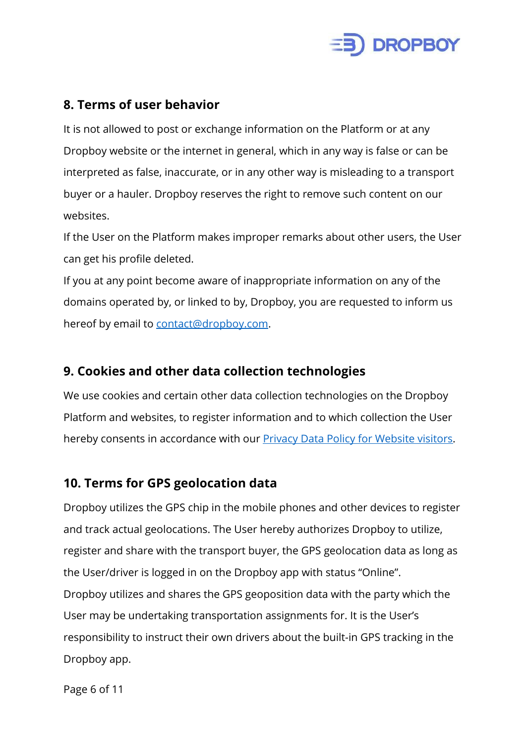

#### **8. Terms of user behavior**

It is not allowed to post or exchange information on the Platform or at any Dropboy website or the internet in general, which in any way is false or can be interpreted as false, inaccurate, or in any other way is misleading to a transport buyer or a hauler. Dropboy reserves the right to remove such content on our websites.

If the User on the Platform makes improper remarks about other users, the User can get his profile deleted.

If you at any point become aware of inappropriate information on any of the domains operated by, or linked to by, Dropboy, you are requested to inform us hereof by email to [contact@dropboy.com](mailto:contact@dropboy.com).

#### **9. Cookies and other data collection technologies**

We use cookies and certain other data collection technologies on the Dropboy Platform and websites, to register information and to which collection the User hereby consents in accordance with our **[Privacy Data Policy for Website visitors](https://secure.complyto.com/api/Widget/DownloadPdf?data=lDgH09IgI9qzue9zBPCPLfPz/OVEKpKKjGJ57U3LLyAaz19x8wE19eTYCDYC8Ge2eiIXYHalAAwBJW9D3X+RgeCjC3FQVnFl8H6dKlEqDzbbuhFE/IlJQJsA6Wg2UN2U)**.

#### **10. Terms for GPS geolocation data**

Dropboy utilizes the GPS chip in the mobile phones and other devices to register and track actual geolocations. The User hereby authorizes Dropboy to utilize, register and share with the transport buyer, the GPS geolocation data as long as the User/driver is logged in on the Dropboy app with status "Online". Dropboy utilizes and shares the GPS geoposition data with the party which the User may be undertaking transportation assignments for. It is the User's responsibility to instruct their own drivers about the built-in GPS tracking in the Dropboy app.

Page 6 of 11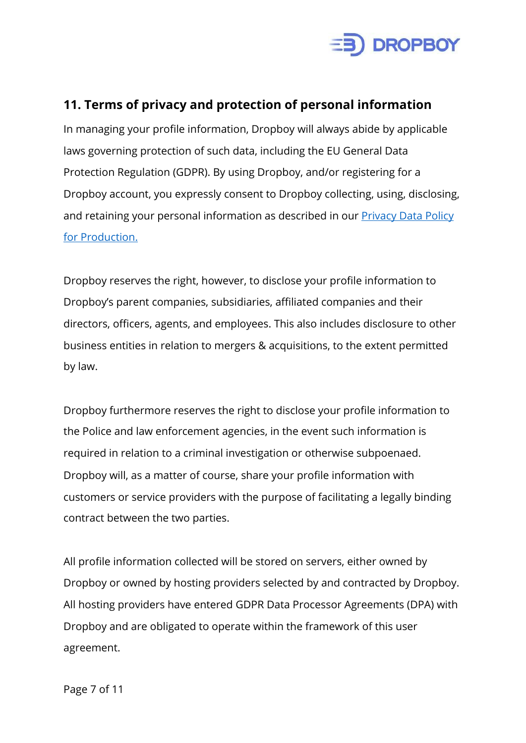

#### **11. Terms of privacy and protection of personal information**

In managing your profile information, Dropboy will always abide by applicable laws governing protection of such data, including the EU General Data Protection Regulation (GDPR). By using Dropboy, and/or registering for a Dropboy account, you expressly consent to Dropboy collecting, using, disclosing, and retaining your personal information as described in our **[Privacy Data Policy](https://secure.complyto.com/api/Widget/DownloadPdf?data=SQ060uesAmfvOWE0fxrH65UW+ArW7Dk0bLDhxtZmvweNBjwQh8+XlH+j+/5/2zHA9J+3Q0F3JK6Mvo/RB1Xbo53WkrOm+xCqQbw6+2H5muDuCbMMbhrhx7gMGlIFbO3u)** [for Production.](https://secure.complyto.com/api/Widget/DownloadPdf?data=SQ060uesAmfvOWE0fxrH65UW+ArW7Dk0bLDhxtZmvweNBjwQh8+XlH+j+/5/2zHA9J+3Q0F3JK6Mvo/RB1Xbo53WkrOm+xCqQbw6+2H5muDuCbMMbhrhx7gMGlIFbO3u)

Dropboy reserves the right, however, to disclose your profile information to Dropboy's parent companies, subsidiaries, affiliated companies and their directors, officers, agents, and employees. This also includes disclosure to other business entities in relation to mergers & acquisitions, to the extent permitted by law.

Dropboy furthermore reserves the right to disclose your profile information to the Police and law enforcement agencies, in the event such information is required in relation to a criminal investigation or otherwise subpoenaed. Dropboy will, as a matter of course, share your profile information with customers or service providers with the purpose of facilitating a legally binding contract between the two parties.

All profile information collected will be stored on servers, either owned by Dropboy or owned by hosting providers selected by and contracted by Dropboy. All hosting providers have entered GDPR Data Processor Agreements (DPA) with Dropboy and are obligated to operate within the framework of this user agreement.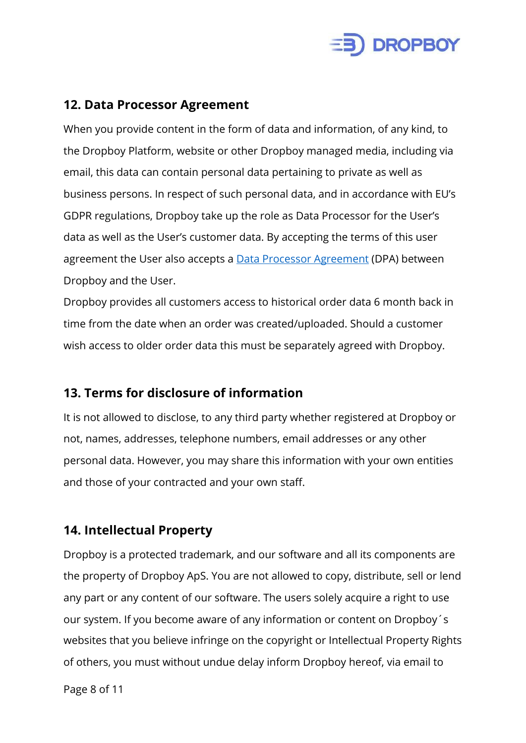

#### **12. Data Processor Agreement**

When you provide content in the form of data and information, of any kind, to the Dropboy Platform, website or other Dropboy managed media, including via email, this data can contain personal data pertaining to private as well as business persons. In respect of such personal data, and in accordance with EU's GDPR regulations, Dropboy take up the role as Data Processor for the User's data as well as the User's customer data. By accepting the terms of this user agreement the User also accepts a **[Data Processor Agreement](https://dropboy.com/wp-content/uploads/2019/10/DropboyDPA_generic_17-10-2019.pdf)** (DPA) between Dropboy and the User.

Dropboy provides all customers access to historical order data 6 month back in time from the date when an order was created/uploaded. Should a customer wish access to older order data this must be separately agreed with Dropboy.

#### **13. Terms for disclosure of information**

It is not allowed to disclose, to any third party whether registered at Dropboy or not, names, addresses, telephone numbers, email addresses or any other personal data. However, you may share this information with your own entities and those of your contracted and your own staff.

### **14. Intellectual Property**

Dropboy is a protected trademark, and our software and all its components are the property of Dropboy ApS. You are not allowed to copy, distribute, sell or lend any part or any content of our software. The users solely acquire a right to use our system. If you become aware of any information or content on Dropboy´s websites that you believe infringe on the copyright or Intellectual Property Rights of others, you must without undue delay inform Dropboy hereof, via email to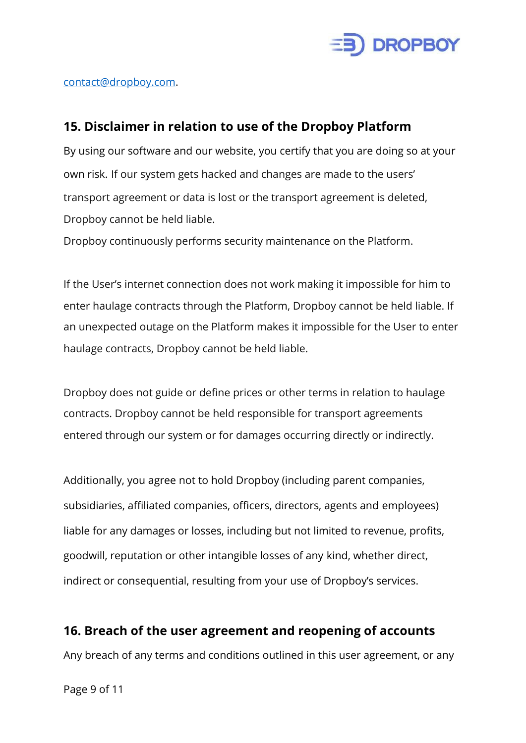

#### [contact@dropboy.com.](mailto:contact@dropboy.com)

#### **15. Disclaimer in relation to use of the Dropboy Platform**

By using our software and our website, you certify that you are doing so at your own risk. If our system gets hacked and changes are made to the users' transport agreement or data is lost or the transport agreement is deleted, Dropboy cannot be held liable.

Dropboy continuously performs security maintenance on the Platform.

If the User's internet connection does not work making it impossible for him to enter haulage contracts through the Platform, Dropboy cannot be held liable. If an unexpected outage on the Platform makes it impossible for the User to enter haulage contracts, Dropboy cannot be held liable.

Dropboy does not guide or define prices or other terms in relation to haulage contracts. Dropboy cannot be held responsible for transport agreements entered through our system or for damages occurring directly or indirectly.

Additionally, you agree not to hold Dropboy (including parent companies, subsidiaries, affiliated companies, officers, directors, agents and employees) liable for any damages or losses, including but not limited to revenue, profits, goodwill, reputation or other intangible losses of any kind, whether direct, indirect or consequential, resulting from your use of Dropboy's services.

# **16. Breach of the user agreement and reopening of accounts**

Any breach of any terms and conditions outlined in this user agreement, or any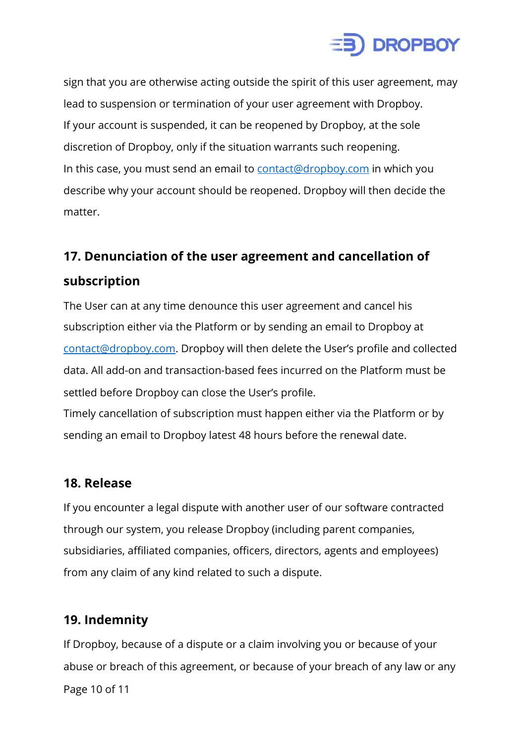

sign that you are otherwise acting outside the spirit of this user agreement, may lead to suspension or termination of your user agreement with Dropboy. If your account is suspended, it can be reopened by Dropboy, at the sole discretion of Dropboy, only if the situation warrants such reopening. In this case, you must send an email to [contact@dropboy.com](mailto:contact@dropboy.com) in which you describe why your account should be reopened. Dropboy will then decide the matter.

## **17. Denunciation of the user agreement and cancellation of subscription**

The User can at any time denounce this user agreement and cancel his subscription either via the Platform or by sending an email to Dropboy at [contact@dropboy.com.](mailto:contact@dropboy.com) Dropboy will then delete the User's profile and collected data. All add-on and transaction-based fees incurred on the Platform must be settled before Dropboy can close the User's profile.

Timely cancellation of subscription must happen either via the Platform or by sending an email to Dropboy latest 48 hours before the renewal date.

#### **18. Release**

If you encounter a legal dispute with another user of our software contracted through our system, you release Dropboy (including parent companies, subsidiaries, affiliated companies, officers, directors, agents and employees) from any claim of any kind related to such a dispute.

### **19. Indemnity**

If Dropboy, because of a dispute or a claim involving you or because of your abuse or breach of this agreement, or because of your breach of any law or any Page 10 of 11